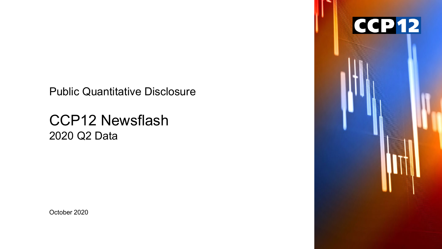Public Quantitative Disclosure

# CCP12 Newsflash 2020 Q2 Data

October 2020

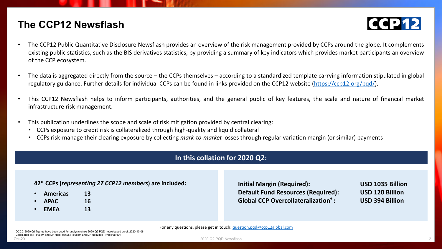### **The CCP12 Newsflash**



- The CCP12 Public Quantitative Disclosure Newsflash provides an overview of the risk management provided by CCPs around the globe. It complements existing public statistics, such as the BIS derivatives statistics, by providing a summary of key indicators which provides market participants an overview of the CCP ecosystem.
- The data is aggregated directly from the source the CCPs themselves according to a standardized template carrying information stipulated in global regulatory guidance. Further details for individual CCPs can be found in links provided on the CCP12 website [\(https://ccp12.org/pqd/](https://ccp12.org/pqd/)).
- This CCP12 Newsflash helps to inform participants, authorities, and the general public of key features, the scale and nature of financial market infrastructure risk management.
- This publication underlines the scope and scale of risk mitigation provided by central clearing:
	- CCPs exposure to credit risk is collateralized through high-quality and liquid collateral
	- CCPs risk-manage their clearing exposure by collecting *mark-to-market* losses through regular variation margin (or similar) payments

### **In this collation for 2020 Q2:**

#### **42\* CCPs (***representing 27 CCP12 members***) are included:**

- **Americas 13**
- **APAC 16**
- **EMEA 13**

**Initial Margin (Required): USD 1035 Billion Default Fund Resources (Required): USD 120 Billion Global CCP Overcollateralization† : USD 394 Billion**

\*DCCC 2020 Q1 figures have been used for analysis since 2020 Q2 PQD not released as of: 2020-10-08. †Calculated as (Total IM and DF Held) minus (Total IM and DF Required) (PostHaircut)

For any questions, please get in touch: [question.pqd@ccp12global.com](mailto:question.pqd@ccp12global.com?subject=PQD%20Newsflash)

oct-20 and the control of the control of the control of the control of the control of the control of the control of the control of the control of the control of the control of the control of the control of the control of t 2020 Q2 PQD Newsflash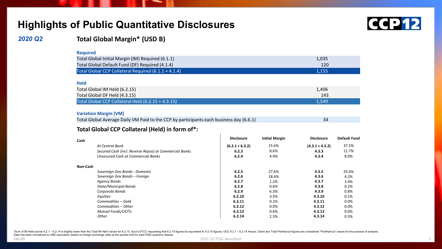### **Highlights of Public Quantitative Disclosures**



### *2020 Q2*

### **Total Global Margin\* (USD B)**

|--|

| Total Global Initial Margin (IM) Required (6.1.1)    | 1,035 |
|------------------------------------------------------|-------|
| Total Global Default Fund (DF) Required (4.1.4)      | 120   |
| Total Global CCP Collateral Required (6.1.1 + 4.1.4) | 1,155 |
|                                                      |       |
| <b>Held</b>                                          |       |
| Total Global IM Held (6.2.15)                        | 1,406 |
| Total Global DF Held (4.3.15)                        | 143   |
| Total Global CCP Collateral Held (6.2.15 + 4.3.15)   | 1.549 |

#### **Variation Margin (VM)**

| Total Global Average Daily VM Paid to the CCP by participants each business day (6.6.1) |  |
|-----------------------------------------------------------------------------------------|--|
|-----------------------------------------------------------------------------------------|--|

#### **Total Global CCP Collateral (Held) in form of\*:**

| Cash     |                                                        | <b>Disclosure</b> | <b>Initial Margin</b> | <b>Disclosure</b> | <b>Default Fund</b> |
|----------|--------------------------------------------------------|-------------------|-----------------------|-------------------|---------------------|
|          | At Central Bank                                        | $(6.2.1 + 6.2.2)$ | 15.6%                 | $(4.3.1 + 4.3.2)$ | 37.5%               |
|          | Secured Cash (incl. Reverse Repos) at Commercial Banks | 6.2.3             | 8.6%                  | 4.3.3             | 11.7%               |
|          | Unsecured Cash at Commercial Banks                     | 6.2.4             | 4.4%                  | 4.3.4             | 8.0%                |
| Non-Cash |                                                        |                   |                       |                   |                     |
|          | Sovereign Gov Bonds - Domestic                         | 6.2.5             | 27.6%                 | 4.3.5             | 33.6%               |
|          | Sovereign Gov Bonds - Foreign                          | 6.2.6             | 18.4%                 | 4.3.6             | 4.2%                |
|          | Agency Bonds                                           | 6.2.7             | 1.2%                  | 4.3.7             | 3.4%                |
|          | <b>State/Municipal Bonds</b>                           | 6.2.8             | 0.6%                  | 4.3.8             | 0.2%                |
|          | Corporate Bonds                                        | 6.2.9             | 6.3%                  | 4.3.9             | 0.8%                |
|          | Equities                                               | 6.2.10            | 3.5%                  | 4.3.10            | 0.1%                |
|          | Commodities - Gold                                     | 6.2.11            | 0.2%                  | 4.3.11            | 0.0%                |
|          | Commodities - Other                                    | 6.2.12            | $0.0\%$               | 4.3.12            | 0.0%                |
|          | <b>Mutual Funds/UCITs</b>                              | 6.2.13            | 0.6%                  | 4.3.13            | 0.0%                |
|          | Other                                                  | 6.2.14            | 2.5%                  | 4.3.14            | 0.5%                |

\*Sum of IM Held across 6.2.1 - 6.2.14 is slightly lower than the Total IM Held Values for 6.2.15, due to DTCC requesting that 6.2.15 figures be equivalent to 4.3.15 figures. OCC 6.2.1 - 6.2.14 House, Client and Total PreHa Data has been normalized to USD equivalent, based on foreign exchange rates at the quarter-end for each PQD quarterly release.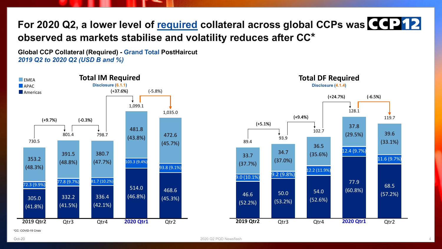## **For 2020 Q2, a lower level of required collateral across global CCPs was observed as markets stabilise and volatility reduces after CC\***

**Global CCP Collateral (Required) - Grand Total PostHaircut** *2019 Q2 to 2020 Q2 (USD B and %)*





\*CC: COVID-19 Crisis

Oct-20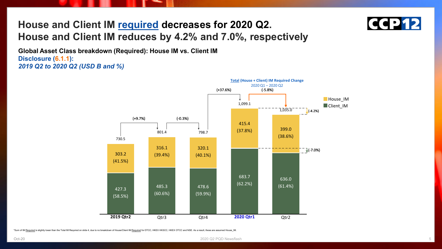## **House and Client IM required decreases for 2020 Q2. House and Client IM reduces by 4.2% and 7.0%, respectively**



**Global Asset Class breakdown (Required): House IM vs. Client IM Disclosure (6.1.1):**  *2019 Q2 to 2020 Q2 (USD B and %)*



\*Sum of IM Required is slightly lower than the Total IM Required on slide 4, due to no breakdown of House/Client IM Required for DTCC, HKEX HKSCC, HKEX OTCC and NSE. As a result, these are assumed House\_IM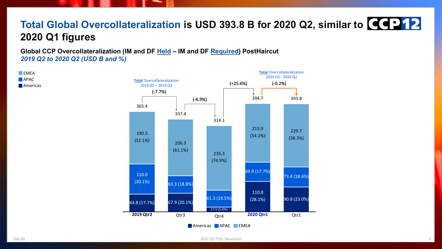## **Total Global Overcollateralization is USD 393.8 B for 2020 Q2, similar to 2020 Q1 figures**

**Global CCP Overcollateralization (IM and DF Held – IM and DF Required) PostHaircut** *2019 Q2 to 2020 Q2 (USD B and %)*

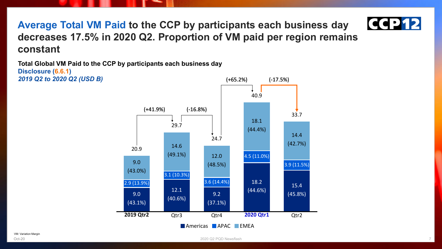

**Average Total VM Paid to the CCP by participants each business day decreases 17.5% in 2020 Q2. Proportion of VM paid per region remains constant**

**Total Global VM Paid to the CCP by participants each business day Disclosure (6.6.1)** *2019 Q2 to 2020 Q2 (USD B)*

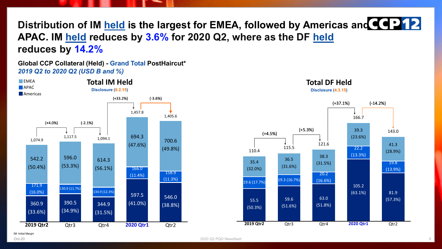**Distribution of IM held is the largest for EMEA, followed by Americas and**  $\left\{ \left( \cdot \right) \right\}$ **APAC. IM held reduces by 3.6% for 2020 Q2, where as the DF held reduces by 14.2%**

**Global CCP Collateral (Held) - Grand Total PostHaircut\*** *2019 Q2 to 2020 Q2 (USD B and %)*



**Total DF Held**



Oct-20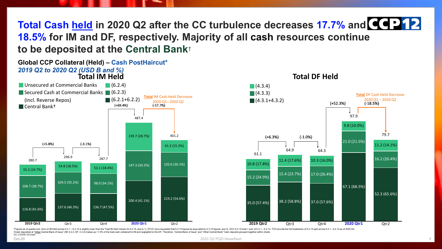**Total Cash held in 2020 Q2 after the CC turbulence decreases 17.7% and 18.5% for IM and DF, respectively. Majority of all cash resources continue to be deposited at the Central Bank**†





\*Figures as of quarter end. Sum of IM Held across 6.2.1 - 6.2.14 is slightly lower than the Total IM Held Values for 6.2.15, due to 1). DTCC have requested that 6.2.15 figures be equivalent to 4.3.15 figures, and 2). OCC 6 response to the Central Bank of Issue" (IM: 6.2.2. DF: 4.3.2) makes up <1.9% of the total cash collateral for IM and negligible for the DF. Therefore, "Central Bank of Issue" and "Other Central Bank "Cash deposits grouped CC: COVID-19 Crisis

2020 Q2 PQD Newsflash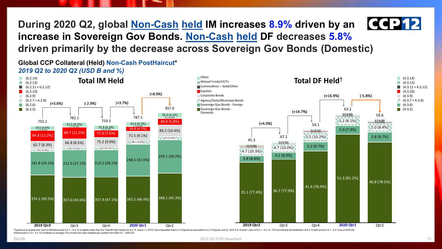**CCP12 During 2020 Q2, global Non-Cash held IM increases 8.9% driven by an increase in Sovereign Gov Bonds. Non-Cash held DF decreases 5.8% driven primarily by the decrease across Sovereign Gov Bonds (Domestic)**

**Global CCP Collateral (Held) Non-Cash PostHaircut\*** *2019 Q2 to 2020 Q2 (USD B and %)*



†Disclosures 4.3.8 – 4.3.14 constitute on average <2% of total non-cash collateral per quarter from 2020 Q1 – 2020 Q2.

2020 Q2 PQD Newsflash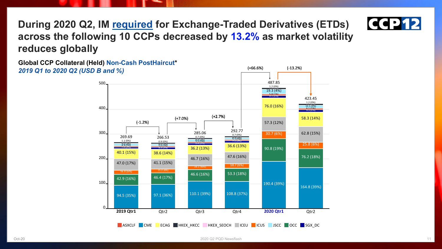

**During 2020 Q2, IM required for Exchange-Traded Derivatives (ETDs) across the following 10 CCPs decreased by 13.2% as market volatility reduces globally**

**Global CCP Collateral (Held) Non-Cash PostHaircut\*** *2019 Q1 to 2020 Q2 (USD B and %)*

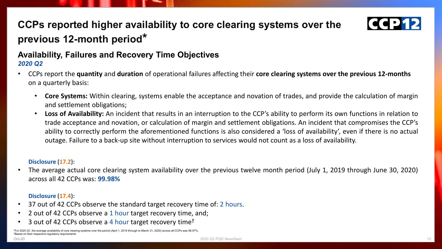## **CCPs reported higher availability to core clearing systems over the previous 12-month period\***



### *2020 Q2*

- CCPs report the **quantity** and **duration** of operational failures affecting their **core clearing systems over the previous 12-months** on a quarterly basis:
	- **Core Systems:** Within clearing, systems enable the acceptance and novation of trades, and provide the calculation of margin and settlement obligations;
	- **Loss of Availability:** An incident that results in an interruption to the CCP's ability to perform its own functions in relation to trade acceptance and novation, or calculation of margin and settlement obligations. An incident that compromises the CCP's ability to correctly perform the aforementioned functions is also considered a 'loss of availability', even if there is no actual outage. Failure to a back-up site without interruption to services would not count as a loss of availability.

### **Disclosure (17.2):**

• The average actual core clearing system availability over the previous twelve month period (July 1, 2019 through June 30, 2020) across all 42 CCPs was: **99.98%**

### **Disclosure (17.4):**

- 37 out of 42 CCPs observe the standard target recovery time of: 2 hours.
- 2 out of 42 CCPs observe a 1 hour target recovery time, and;
- 3 out of 42 CCPs observe a 4 hour target recovery time†

<sup>\*</sup>For 2020 Q1, the average availability of core clearing systems over the period (April 1, 2019 through to March 31, 2020) across all CCPs was 99.97%. <sup>†</sup>Based on their respective regulatory requirements